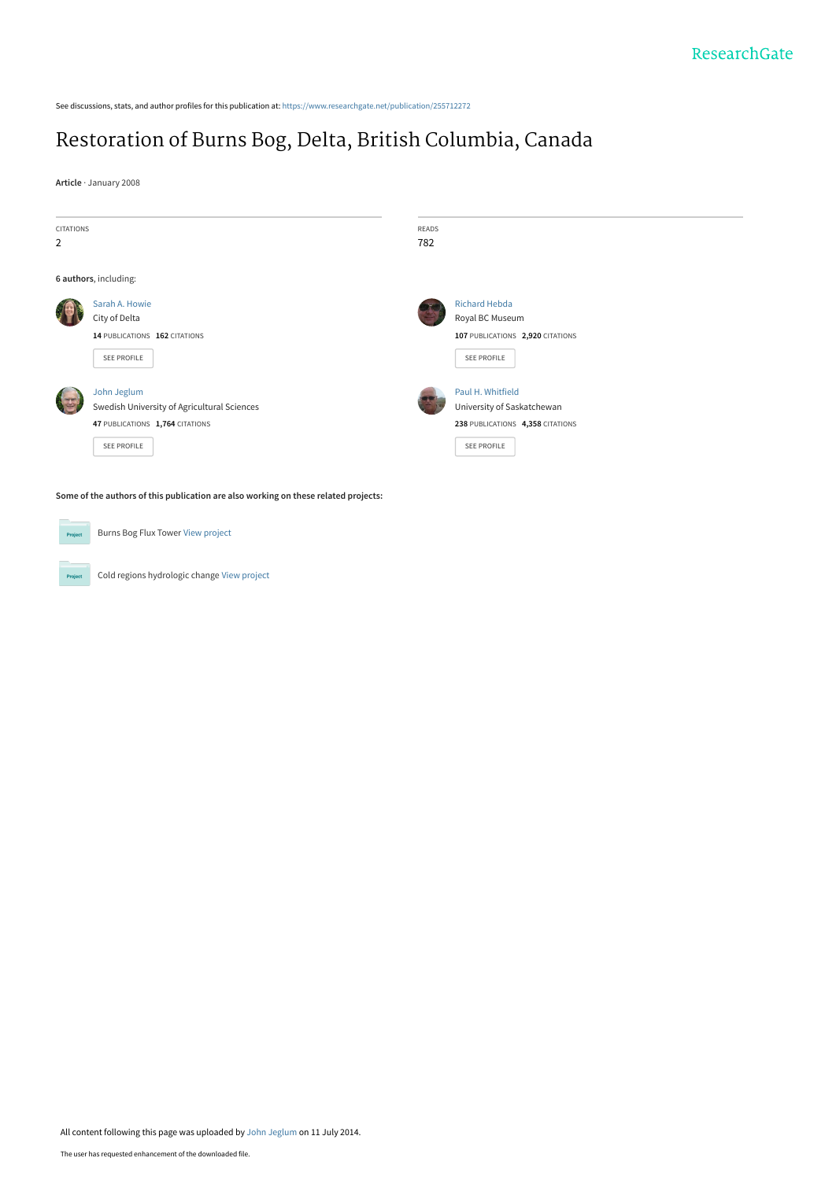See discussions, stats, and author profiles for this publication at: [https://www.researchgate.net/publication/255712272](https://www.researchgate.net/publication/255712272_Restoration_of_Burns_Bog_Delta_British_Columbia_Canada?enrichId=rgreq-eedb2d1b14c0897f03bebbd8d02d0b14-XXX&enrichSource=Y292ZXJQYWdlOzI1NTcxMjI3MjtBUzoxMTc1NTQ4NzM5MDEwNTZAMTQwNTAzODY3NTQ3MA%3D%3D&el=1_x_2&_esc=publicationCoverPdf)

## [Restoration of Burns Bog, Delta, British Columbia, Canada](https://www.researchgate.net/publication/255712272_Restoration_of_Burns_Bog_Delta_British_Columbia_Canada?enrichId=rgreq-eedb2d1b14c0897f03bebbd8d02d0b14-XXX&enrichSource=Y292ZXJQYWdlOzI1NTcxMjI3MjtBUzoxMTc1NTQ4NzM5MDEwNTZAMTQwNTAzODY3NTQ3MA%3D%3D&el=1_x_3&_esc=publicationCoverPdf)

**Article** · January 2008



**Some of the authors of this publication are also working on these related projects:**

**Project** 

Project

Burns Bog Flux Tower [View project](https://www.researchgate.net/project/Burns-Bog-Flux-Tower?enrichId=rgreq-eedb2d1b14c0897f03bebbd8d02d0b14-XXX&enrichSource=Y292ZXJQYWdlOzI1NTcxMjI3MjtBUzoxMTc1NTQ4NzM5MDEwNTZAMTQwNTAzODY3NTQ3MA%3D%3D&el=1_x_9&_esc=publicationCoverPdf)

Cold regions hydrologic change [View project](https://www.researchgate.net/project/Cold-regions-hydrologic-change?enrichId=rgreq-eedb2d1b14c0897f03bebbd8d02d0b14-XXX&enrichSource=Y292ZXJQYWdlOzI1NTcxMjI3MjtBUzoxMTc1NTQ4NzM5MDEwNTZAMTQwNTAzODY3NTQ3MA%3D%3D&el=1_x_9&_esc=publicationCoverPdf)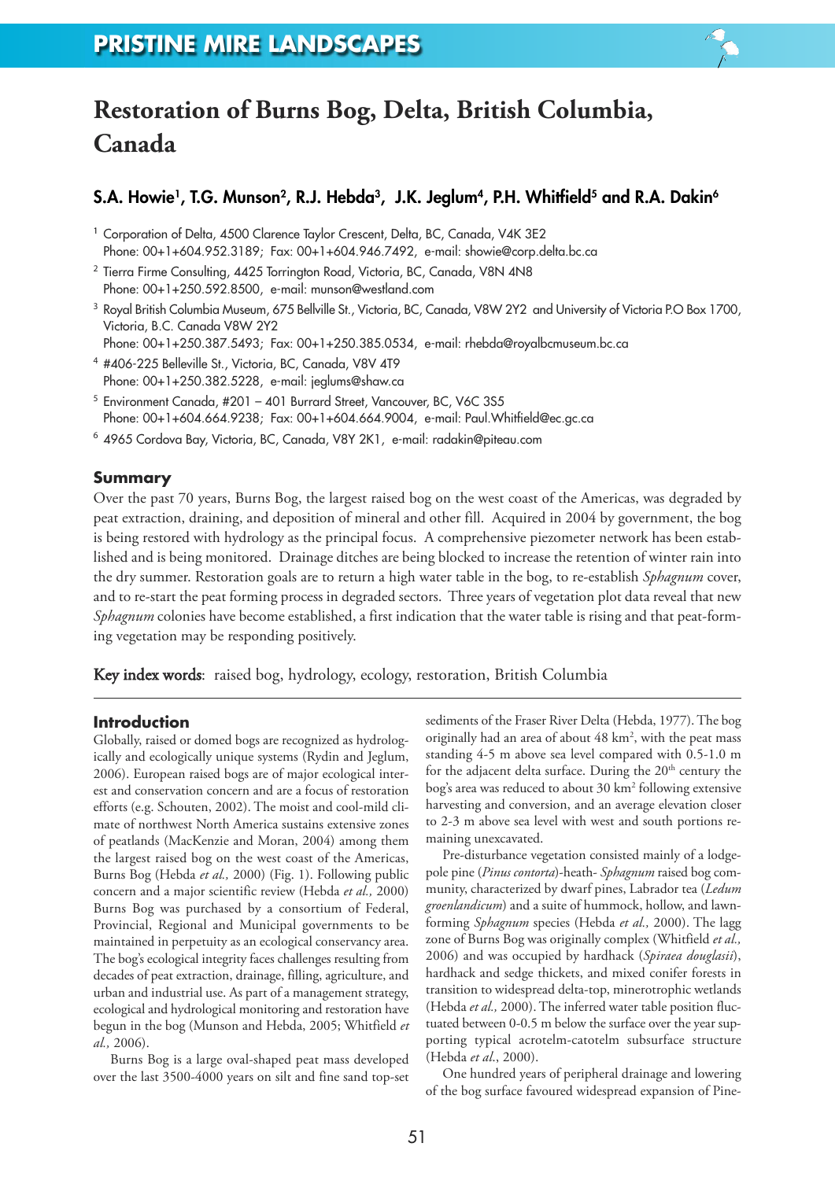

# **Restoration of Burns Bog, Delta, British Columbia, Canada**

## **S.A. Howie1, T.G. Munson2, R.J. Hebda3, J.K. Jeglum4, P.H. Whitfield5 and R.A. Dakin6**

- <sup>1</sup> Corporation of Delta, 4500 Clarence Taylor Crescent, Delta, BC, Canada, V4K 3E2 Phone: 00+1+604.952.3189; Fax: 00+1+604.946.7492, e-mail: showie@corp.delta.bc.ca
- <sup>2</sup> Tierra Firme Consulting, 4425 Torrington Road, Victoria, BC, Canada, V8N 4N8 Phone: 00+1+250.592.8500, e-mail: munson@westland.com
- <sup>3</sup> Royal British Columbia Museum, 675 Bellville St., Victoria, BC, Canada, V8W 2Y2 and University of Victoria P.O Box 1700, Victoria, B.C. Canada V8W 2Y2
- Phone: 00+1+250.387.5493; Fax: 00+1+250.385.0534, e-mail: rhebda@royalbcmuseum.bc.ca
- <sup>4</sup> #406-225 Belleville St., Victoria, BC, Canada, V8V 4T9 Phone: 00+1+250.382.5228, e-mail: jeglums@shaw.ca
- <sup>5</sup> Environment Canada, #201 401 Burrard Street, Vancouver, BC, V6C 3S5 Phone: 00+1+604.664.9238; Fax: 00+1+604.664.9004, e-mail: Paul.Whitfield@ec.gc.ca
- <sup>6</sup> 4965 Cordova Bay, Victoria, BC, Canada, V8Y 2K1, e-mail: radakin@piteau.com

## **Summary**

Over the past 70 years, Burns Bog, the largest raised bog on the west coast of the Americas, was degraded by peat extraction, draining, and deposition of mineral and other fill. Acquired in 2004 by government, the bog is being restored with hydrology as the principal focus. A comprehensive piezometer network has been established and is being monitored. Drainage ditches are being blocked to increase the retention of winter rain into the dry summer. Restoration goals are to return a high water table in the bog, to re-establish *Sphagnum* cover, and to re-start the peat forming process in degraded sectors. Three years of vegetation plot data reveal that new *Sphagnum* colonies have become established, a first indication that the water table is rising and that peat-forming vegetation may be responding positively.

Key index words: raised bog, hydrology, ecology, restoration, British Columbia

### **Introduction**

Globally, raised or domed bogs are recognized as hydrologically and ecologically unique systems (Rydin and Jeglum, 2006). European raised bogs are of major ecological interest and conservation concern and are a focus of restoration efforts (e.g. Schouten, 2002). The moist and cool-mild climate of northwest North America sustains extensive zones of peatlands (MacKenzie and Moran, 2004) among them the largest raised bog on the west coast of the Americas, Burns Bog (Hebda *et al.,* 2000) (Fig. 1). Following public concern and a major scientific review (Hebda *et al.,* 2000) Burns Bog was purchased by a consortium of Federal, Provincial, Regional and Municipal governments to be maintained in perpetuity as an ecological conservancy area. The bog's ecological integrity faces challenges resulting from decades of peat extraction, drainage, filling, agriculture, and urban and industrial use. As part of a management strategy, ecological and hydrological monitoring and restoration have begun in the bog (Munson and Hebda, 2005; Whitfield *et al.,* 2006).

Burns Bog is a large oval-shaped peat mass developed over the last 3500-4000 years on silt and fine sand top-set sediments of the Fraser River Delta (Hebda, 1977). The bog originally had an area of about 48 km<sup>2</sup>, with the peat mass standing 4-5 m above sea level compared with 0.5-1.0 m for the adjacent delta surface. During the  $20<sup>th</sup>$  century the bog's area was reduced to about 30 km2 following extensive harvesting and conversion, and an average elevation closer to 2-3 m above sea level with west and south portions remaining unexcavated.

Pre-disturbance vegetation consisted mainly of a lodgepole pine (*Pinus contorta*)-heath- *Sphagnum* raised bog community, characterized by dwarf pines, Labrador tea (*Ledum groenlandicum*) and a suite of hummock, hollow, and lawnforming *Sphagnum* species (Hebda *et al.,* 2000). The lagg zone of Burns Bog was originally complex (Whitfield *et al.,* 2006) and was occupied by hardhack (*Spiraea douglasii*), hardhack and sedge thickets, and mixed conifer forests in transition to widespread delta-top, minerotrophic wetlands (Hebda *et al.,* 2000).The inferred water table position fluctuated between 0-0.5 m below the surface over the year supporting typical acrotelm-catotelm subsurface structure (Hebda *et al*., 2000).

One hundred years of peripheral drainage and lowering of the bog surface favoured widespread expansion of Pine-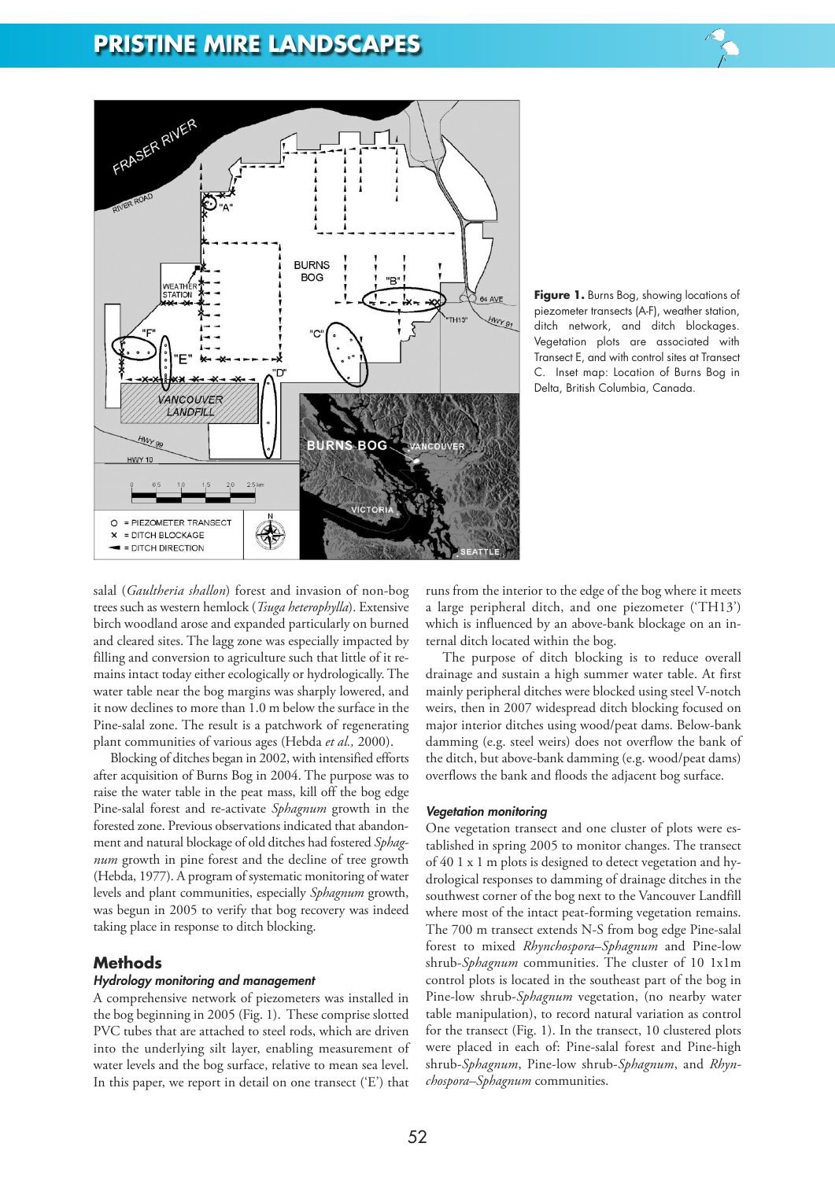## **PRISTINE MIRE LANDSCAPES**



**Figure 1.** Burns Bog, showing locations of piezometer transects (A-F), weather station, ditch network, and ditch blockages. Vegetation plots are associated with Transect E, and with control sites at Transect C. Inset map: Location of Burns Bog in Delta, British Columbia, Canada.

salal (*Gaultheria shallon*) forest and invasion of non-bog trees such as western hemlock (*Tsuga heterophylla*). Extensive birch woodland arose and expanded particularly on burned and cleared sites. The lagg zone was especially impacted by filling and conversion to agriculture such that little of it remains intact today either ecologically or hydrologically.The water table near the bog margins was sharply lowered, and it now declines to more than 1.0 m below the surface in the Pine-salal zone. The result is a patchwork of regenerating plant communities of various ages (Hebda *et al.,* 2000).

Blocking of ditches began in 2002, with intensified efforts after acquisition of Burns Bog in 2004. The purpose was to raise the water table in the peat mass, kill off the bog edge Pine-salal forest and re-activate *Sphagnum* growth in the forested zone. Previous observations indicated that abandonment and natural blockage of old ditches had fostered *Sphagnum* growth in pine forest and the decline of tree growth (Hebda, 1977). A program of systematic monitoring of water levels and plant communities, especially *Sphagnum* growth, was begun in 2005 to verify that bog recovery was indeed taking place in response to ditch blocking.

### **Methods**

#### *Hydrology monitoring and management*

A comprehensive network of piezometers was installed in the bog beginning in 2005 (Fig. 1). These comprise slotted PVC tubes that are attached to steel rods, which are driven into the underlying silt layer, enabling measurement of water levels and the bog surface, relative to mean sea level. In this paper, we report in detail on one transect ('E') that

runs from the interior to the edge of the bog where it meets a large peripheral ditch, and one piezometer ('TH13') which is influenced by an above-bank blockage on an internal ditch located within the bog.

The purpose of ditch blocking is to reduce overall drainage and sustain a high summer water table. At first mainly peripheral ditches were blocked using steel V-notch weirs, then in 2007 widespread ditch blocking focused on major interior ditches using wood/peat dams. Below-bank damming (e.g. steel weirs) does not overflow the bank of the ditch, but above-bank damming (e.g. wood/peat dams) overflows the bank and floods the adjacent bog surface.

#### *Vegetation monitoring*

One vegetation transect and one cluster of plots were established in spring 2005 to monitor changes. The transect of 40 1 x 1 m plots is designed to detect vegetation and hydrological responses to damming of drainage ditches in the southwest corner of the bog next to the Vancouver Landfill where most of the intact peat-forming vegetation remains. The 700 m transect extends N-S from bog edge Pine-salal forest to mixed *Rhynchospora*–*Sphagnum* and Pine-low shrub-*Sphagnum* communities. The cluster of 10 1x1m control plots is located in the southeast part of the bog in Pine-low shrub-*Sphagnum* vegetation, (no nearby water table manipulation), to record natural variation as control for the transect (Fig. 1). In the transect, 10 clustered plots were placed in each of: Pine-salal forest and Pine-high shrub-*Sphagnum*, Pine-low shrub-*Sphagnum*, and *Rhynchospora*–*Sphagnum* communities.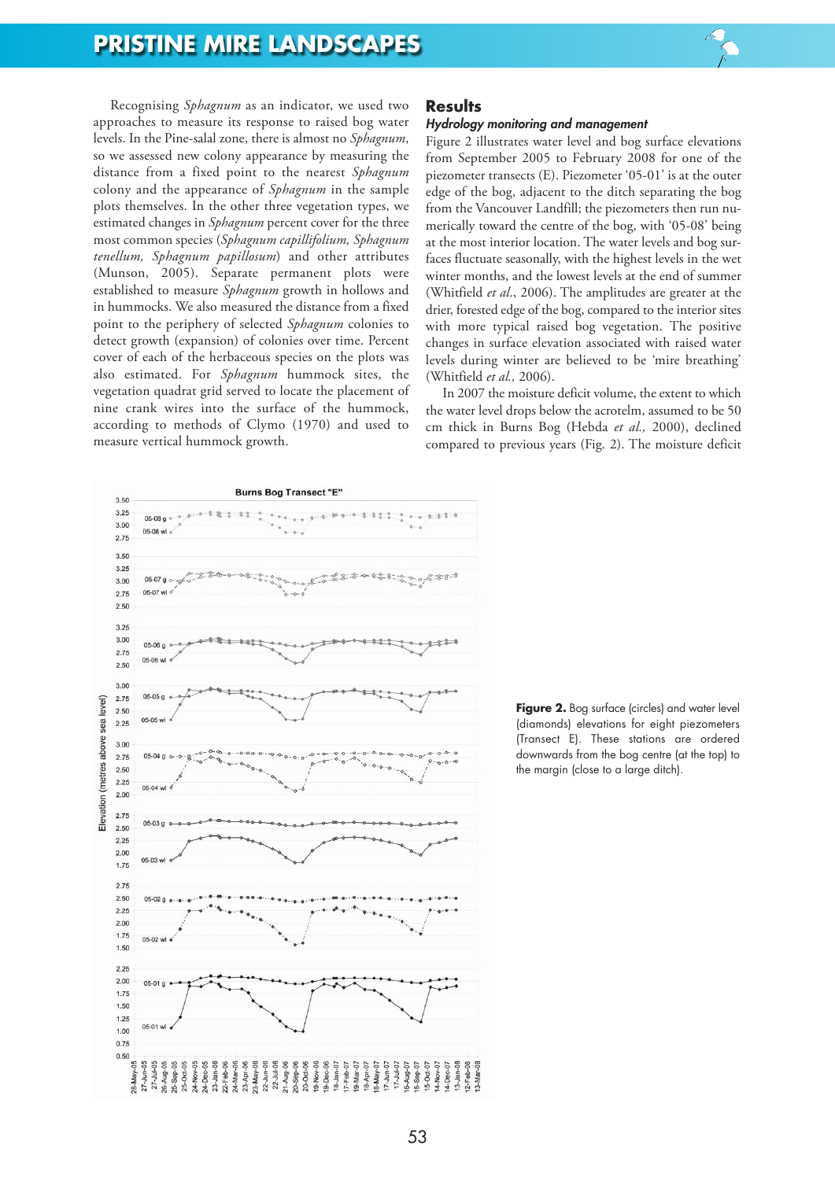Recognising *Sphagnum* as an indicator, we used two approaches to measure its response to raised bog water levels. In the Pine-salal zone, there is almost no *Sphagnum*, so we assessed new colony appearance by measuring the distance from a fixed point to the nearest *Sphagnum* colony and the appearance of *Sphagnum* in the sample plots themselves. In the other three vegetation types, we estimated changes in *Sphagnum* percent cover for the three most common species (*Sphagnum capillifolium, Sphagnum tenellum, Sphagnum papillosum*) and other attributes (Munson, 2005). Separate permanent plots were established to measure *Sphagnum* growth in hollows and in hummocks. We also measured the distance from a fixed point to the periphery of selected *Sphagnum* colonies to detect growth (expansion) of colonies over time. Percent cover of each of the herbaceous species on the plots was also estimated. For *Sphagnum* hummock sites, the vegetation quadrat grid served to locate the placement of nine crank wires into the surface of the hummock, according to methods of Clymo (1970) and used to measure vertical hummock growth.

## **Results**

#### *Hydrology monitoring and management*

Figure 2 illustrates water level and bog surface elevations from September 2005 to February 2008 for one of the piezometer transects (E). Piezometer '05-01' is at the outer edge of the bog, adjacent to the ditch separating the bog from the Vancouver Landfill; the piezometers then run numerically toward the centre of the bog, with '05-08' being at the most interior location. The water levels and bog surfaces fluctuate seasonally, with the highest levels in the wet winter months, and the lowest levels at the end of summer (Whitfield *et al*., 2006). The amplitudes are greater at the drier, forested edge of the bog, compared to the interior sites with more typical raised bog vegetation. The positive changes in surface elevation associated with raised water levels during winter are believed to be 'mire breathing' (Whitfield *et al.,* 2006).

In 2007 the moisture deficit volume, the extent to which the water level drops below the acrotelm, assumed to be 50 cm thick in Burns Bog (Hebda *et al.,* 2000), declined compared to previous years (Fig. 2). The moisture deficit



**Figure 2.** Bog surface (circles) and water level (diamonds) elevations for eight piezometers (Transect E). These stations are ordered downwards from the bog centre (at the top) to the margin (close to a large ditch).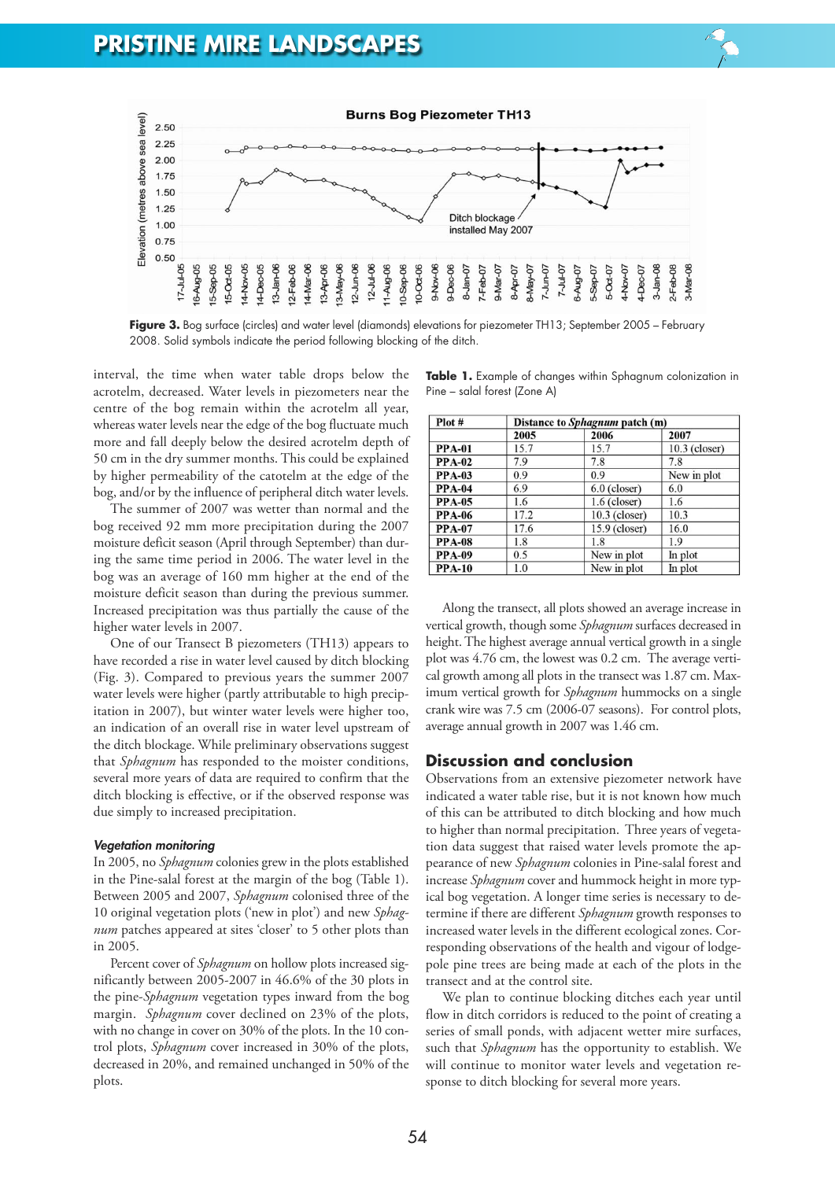

**Figure 3.** Bog surface (circles) and water level (diamonds) elevations for piezometer TH13; September 2005 – February 2008. Solid symbols indicate the period following blocking of the ditch.

interval, the time when water table drops below the acrotelm, decreased. Water levels in piezometers near the centre of the bog remain within the acrotelm all year, whereas water levels near the edge of the bog fluctuate much more and fall deeply below the desired acrotelm depth of 50 cm in the dry summer months. This could be explained by higher permeability of the catotelm at the edge of the bog, and/or by the influence of peripheral ditch water levels.

The summer of 2007 was wetter than normal and the bog received 92 mm more precipitation during the 2007 moisture deficit season (April through September) than during the same time period in 2006. The water level in the bog was an average of 160 mm higher at the end of the moisture deficit season than during the previous summer. Increased precipitation was thus partially the cause of the higher water levels in 2007.

One of our Transect B piezometers (TH13) appears to have recorded a rise in water level caused by ditch blocking (Fig. 3). Compared to previous years the summer 2007 water levels were higher (partly attributable to high precipitation in 2007), but winter water levels were higher too, an indication of an overall rise in water level upstream of the ditch blockage. While preliminary observations suggest that *Sphagnum* has responded to the moister conditions, several more years of data are required to confirm that the ditch blocking is effective, or if the observed response was due simply to increased precipitation.

#### *Vegetation monitoring*

In 2005, no *Sphagnum* colonies grew in the plots established in the Pine-salal forest at the margin of the bog (Table 1). Between 2005 and 2007, *Sphagnum* colonised three of the 10 original vegetation plots ('new in plot') and new *Sphagnum* patches appeared at sites 'closer' to 5 other plots than in 2005.

Percent cover of *Sphagnum* on hollow plots increased significantly between 2005-2007 in 46.6% of the 30 plots in the pine-*Sphagnum* vegetation types inward from the bog margin. *Sphagnum* cover declined on 23% of the plots, with no change in cover on 30% of the plots. In the 10 control plots, *Sphagnum* cover increased in 30% of the plots, decreased in 20%, and remained unchanged in 50% of the plots.

|                              |  | Table 1. Example of changes within Sphagnum colonization in |  |
|------------------------------|--|-------------------------------------------------------------|--|
| Pine – salal forest (Zone A) |  |                                                             |  |

| Plot #        | Distance to Sphagnum patch (m) |                 |                 |  |  |
|---------------|--------------------------------|-----------------|-----------------|--|--|
|               | 2005                           | 2006            | 2007            |  |  |
| <b>PPA-01</b> | 15.7                           | 15.7            | $10.3$ (closer) |  |  |
| <b>PPA-02</b> | 7.9                            | 7.8             | 7.8             |  |  |
| <b>PPA-03</b> | 0.9                            | 0.9             | New in plot     |  |  |
| <b>PPA-04</b> | 6.9                            | $6.0$ (closer)  | 6.0             |  |  |
| <b>PPA-05</b> | 1.6                            | $1.6$ (closer)  | 1.6             |  |  |
| <b>PPA-06</b> | 17.2                           | $10.3$ (closer) | 10.3            |  |  |
| <b>PPA-07</b> | 17.6                           | $15.9$ (closer) | 16.0            |  |  |
| <b>PPA-08</b> | 1.8                            | 1.8             | 1.9             |  |  |
| <b>PPA-09</b> | 0.5                            | New in plot     | In plot         |  |  |
| <b>PPA-10</b> | 1.0                            | New in plot     | In plot         |  |  |

Along the transect, all plots showed an average increase in vertical growth, though some *Sphagnum* surfaces decreased in height.The highest average annual vertical growth in a single plot was 4.76 cm, the lowest was 0.2 cm. The average vertical growth among all plots in the transect was 1.87 cm. Maximum vertical growth for *Sphagnum* hummocks on a single crank wire was 7.5 cm (2006-07 seasons). For control plots, average annual growth in 2007 was 1.46 cm.

## **Discussion and conclusion**

Observations from an extensive piezometer network have indicated a water table rise, but it is not known how much of this can be attributed to ditch blocking and how much to higher than normal precipitation. Three years of vegetation data suggest that raised water levels promote the appearance of new *Sphagnum* colonies in Pine-salal forest and increase *Sphagnum* cover and hummock height in more typical bog vegetation. A longer time series is necessary to determine if there are different *Sphagnum* growth responses to increased water levels in the different ecological zones. Corresponding observations of the health and vigour of lodgepole pine trees are being made at each of the plots in the transect and at the control site.

We plan to continue blocking ditches each year until flow in ditch corridors is reduced to the point of creating a series of small ponds, with adjacent wetter mire surfaces, such that *Sphagnum* has the opportunity to establish. We will continue to monitor water levels and vegetation response to ditch blocking for several more years.